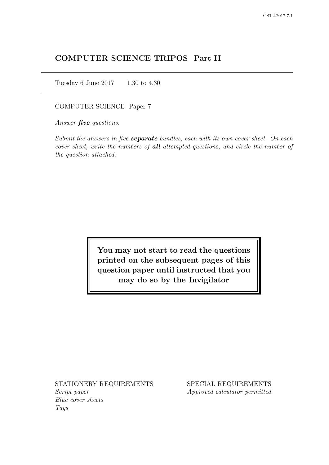# COMPUTER SCIENCE TRIPOS Part II

Tuesday 6 June 2017 1.30 to 4.30

COMPUTER SCIENCE Paper 7

Answer *five* questions.

Submit the answers in five **separate** bundles, each with its own cover sheet. On each cover sheet, write the numbers of **all** attempted questions, and circle the number of the question attached.

> You may not start to read the questions printed on the subsequent pages of this question paper until instructed that you may do so by the Invigilator

STATIONERY REQUIREMENTS Script paper Blue cover sheets

Tags

SPECIAL REQUIREMENTS Approved calculator permitted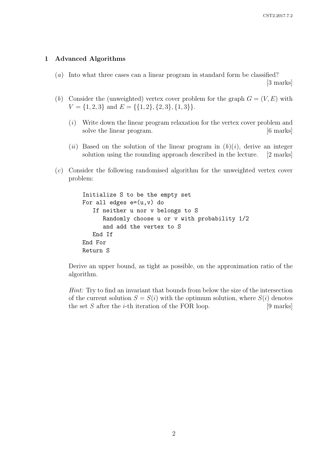#### 1 Advanced Algorithms

- (a) Into what three cases can a linear program in standard form be classified? [3 marks]
- (b) Consider the (unweighted) vertex cover problem for the graph  $G = (V, E)$  with  $V = \{1, 2, 3\}$  and  $E = \{\{1, 2\}, \{2, 3\}, \{1, 3\}\}.$ 
	- (i) Write down the linear program relaxation for the vertex cover problem and solve the linear program. [6 marks]
	- (ii) Based on the solution of the linear program in  $(b)(i)$ , derive an integer solution using the rounding approach described in the lecture. [2 marks]
- (c) Consider the following randomised algorithm for the unweighted vertex cover problem:

```
Initialize S to be the empty set
For all edges e=(u,v) do
   If neither u nor v belongs to S
      Randomly choose u or v with probability 1/2
      and add the vertex to S
   End If
End For
Return S
```
Derive an upper bound, as tight as possible, on the approximation ratio of the algorithm.

Hint: Try to find an invariant that bounds from below the size of the intersection of the current solution  $S = S(i)$  with the optimum solution, where  $S(i)$  denotes the set S after the *i*-th iteration of the FOR loop. [9 marks]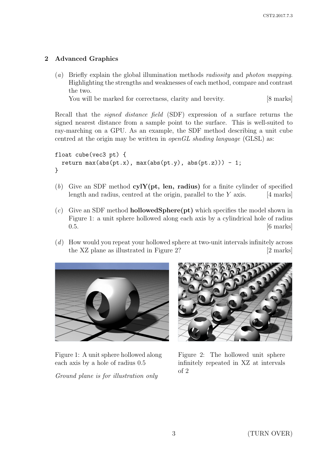## 2 Advanced Graphics

(a) Briefly explain the global illumination methods radiosity and photon mapping. Highlighting the strengths and weaknesses of each method, compare and contrast the two.

You will be marked for correctness, clarity and brevity. [8 marks]

Recall that the signed distance field (SDF) expression of a surface returns the signed nearest distance from a sample point to the surface. This is well-suited to ray-marching on a GPU. As an example, the SDF method describing a unit cube centred at the origin may be written in *openGL shading language* (GLSL) as:

```
float cube(vec3 pt) {
  return max(abs(pt.x), max(abs(pt.y), abs(pt.z))) - 1;
}
```
- (b) Give an SDF method  $cylY(pt, len, radius)$  for a finite cylinder of specified length and radius, centred at the origin, parallel to the  $Y$  axis. [4 marks]
- $(c)$  Give an SDF method **hollowedSphere** (pt) which specifies the model shown in Figure 1: a unit sphere hollowed along each axis by a cylindrical hole of radius  $0.5.$  [6 marks]
- (d) How would you repeat your hollowed sphere at two-unit intervals infinitely across the XZ plane as illustrated in Figure 2? [2 marks]



Figure 1: A unit sphere hollowed along each axis by a hole of radius 0.5

Ground plane is for illustration only



Figure 2: The hollowed unit sphere infinitely repeated in XZ at intervals of 2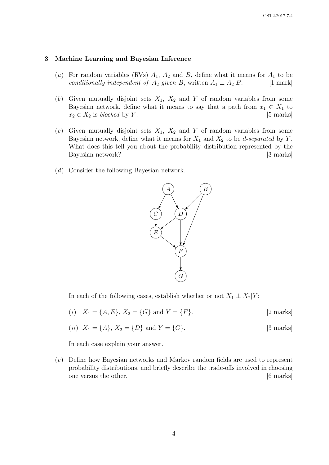#### 3 Machine Learning and Bayesian Inference

- (a) For random variables (RVs)  $A_1$ ,  $A_2$  and B, define what it means for  $A_1$  to be conditionally independent of  $A_2$  given B, written  $A_1 \perp A_2 | B$ . [1 mark]
- (b) Given mutually disjoint sets  $X_1$ ,  $X_2$  and Y of random variables from some Bayesian network, define what it means to say that a path from  $x_1 \in X_1$  to  $x_2 \in X_2$  is blocked by Y. [5 marks]
- (c) Given mutually disjoint sets  $X_1$ ,  $X_2$  and Y of random variables from some Bayesian network, define what it means for  $X_1$  and  $X_2$  to be *d-separated* by Y. What does this tell you about the probability distribution represented by the Bayesian network? [3 marks]
- (d) Consider the following Bayesian network.



In each of the following cases, establish whether or not  $X_1 \perp X_2|Y$ :

(*i*)  $X_1 = \{A, E\}, X_2 = \{G\}$  and  $Y = \{F\}.$  [2 marks]

(*ii*) 
$$
X_1 = \{A\}, X_2 = \{D\}
$$
 and  $Y = \{G\}.$  [3 marks]

In each case explain your answer.

(e) Define how Bayesian networks and Markov random fields are used to represent probability distributions, and briefly describe the trade-offs involved in choosing one versus the other. [6 marks]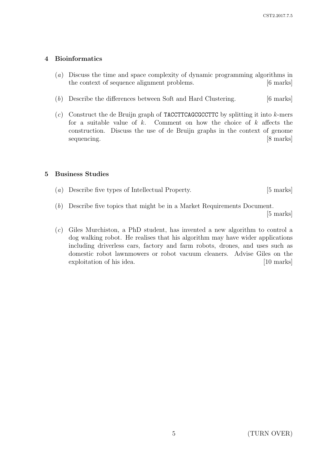### 4 Bioinformatics

- (a) Discuss the time and space complexity of dynamic programming algorithms in the context of sequence alignment problems. [6 marks]
- (b) Describe the differences between Soft and Hard Clustering. [6 marks]
- (c) Construct the de Bruijn graph of **TACCTTCAGCGCCTTC** by splitting it into  $k$ -mers for a suitable value of  $k$ . Comment on how the choice of  $k$  affects the construction. Discuss the use of de Bruijn graphs in the context of genome sequencing. [8 marks]

### 5 Business Studies

- (a) Describe five types of Intellectual Property. [5 marks]
- (b) Describe five topics that might be in a Market Requirements Document.

[5 marks]

(c) Giles Murchiston, a PhD student, has invented a new algorithm to control a dog walking robot. He realises that his algorithm may have wider applications including driverless cars, factory and farm robots, drones, and uses such as domestic robot lawnmowers or robot vacuum cleaners. Advise Giles on the exploitation of his idea. [10 marks] [10 marks]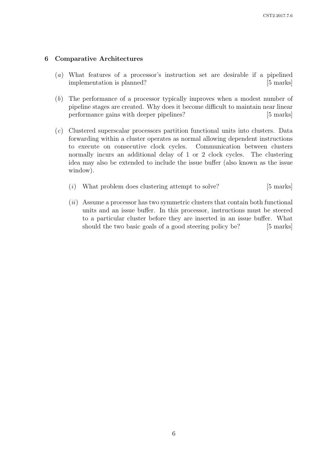#### 6 Comparative Architectures

- (a) What features of a processor's instruction set are desirable if a pipelined implementation is planned? [5 marks]
- (b) The performance of a processor typically improves when a modest number of pipeline stages are created. Why does it become difficult to maintain near linear performance gains with deeper pipelines? [5 marks]
- (c) Clustered superscalar processors partition functional units into clusters. Data forwarding within a cluster operates as normal allowing dependent instructions to execute on consecutive clock cycles. Communication between clusters normally incurs an additional delay of 1 or 2 clock cycles. The clustering idea may also be extended to include the issue buffer (also known as the issue window).
	- $(i)$  What problem does clustering attempt to solve? [5 marks]
	- $(ii)$  Assume a processor has two symmetric clusters that contain both functional units and an issue buffer. In this processor, instructions must be steered to a particular cluster before they are inserted in an issue buffer. What should the two basic goals of a good steering policy be? [5 marks]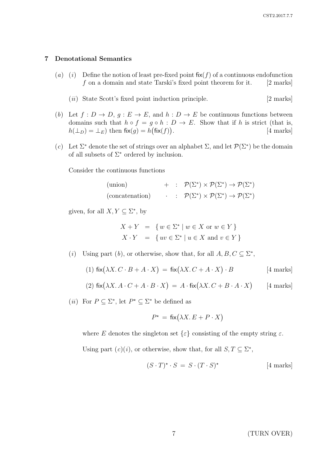### 7 Denotational Semantics

- (a) (i) Define the notion of least pre-fixed point  $f(x(f))$  of a continuous endofunction  $f$  on a domain and state Tarski's fixed point theorem for it. [2 marks]
	- $(ii)$  State Scott's fixed point induction principle. [2 marks]
- (b) Let  $f: D \to D$ ,  $g: E \to E$ , and  $h: D \to E$  be continuous functions between domains such that  $h \circ f = g \circ h : D \to E$ . Show that if h is strict (that is,  $h(\perp_D) = \perp_E$ ) then  $f\mathsf{fix}(g) = h(f\mathsf{fix}(f))$ . [4 marks]
- (c) Let  $\Sigma^*$  denote the set of strings over an alphabet  $\Sigma$ , and let  $\mathcal{P}(\Sigma^*)$  be the domain of all subsets of  $\Sigma^*$  ordered by inclusion.

Consider the continuous functions

| (union)         |  | $+$ : $\mathcal{P}(\Sigma^*) \times \mathcal{P}(\Sigma^*) \to \mathcal{P}(\Sigma^*)$     |
|-----------------|--|------------------------------------------------------------------------------------------|
| (concatenation) |  | $\cdot$ : $\mathcal{P}(\Sigma^*) \times \mathcal{P}(\Sigma^*) \to \mathcal{P}(\Sigma^*)$ |

given, for all  $X, Y \subseteq \Sigma^*$ , by

$$
X + Y = \{ w \in \Sigma^* \mid w \in X \text{ or } w \in Y \}
$$
  

$$
X \cdot Y = \{ uv \in \Sigma^* \mid u \in X \text{ and } v \in Y \}
$$

(*i*) Using part (*b*), or otherwise, show that, for all  $A, B, C \subseteq \Sigma^*$ ,

(1) 
$$
fix(\lambda X. C \cdot B + A \cdot X) = fix(\lambda X. C + A \cdot X) \cdot B
$$
 [4 marks]

(2) 
$$
fix(\lambda X. A \cdot C + A \cdot B \cdot X) = A \cdot fix(\lambda X. C + B \cdot A \cdot X)
$$
 [4 marks]

(*ii*) For  $P \subseteq \Sigma^*$ , let  $P^* \subseteq \Sigma^*$  be defined as

$$
P^* = \text{fix}(\lambda X. E + P \cdot X)
$$

where E denotes the singleton set  $\{\varepsilon\}$  consisting of the empty string  $\varepsilon$ .

Using part  $(c)(i)$ , or otherwise, show that, for all  $S, T \subseteq \Sigma^*$ ,

$$
(S \cdot T)^{\star} \cdot S = S \cdot (T \cdot S)^{\star}
$$
 [4 marks]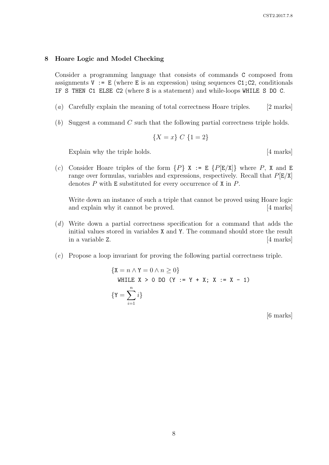#### 8 Hoare Logic and Model Checking

Consider a programming language that consists of commands C composed from assignments  $V := E$  (where E is an expression) using sequences C1; C2, conditionals IF S THEN C1 ELSE C2 (where S is a statement) and while-loops WHILE S DO C.

- (a) Carefully explain the meaning of total correctness Hoare triples. [2 marks]
- $(b)$  Suggest a command C such that the following partial correctness triple holds.

$$
\{X = x\} \ C \ \{1 = 2\}
$$

Explain why the triple holds. [4 marks]

(c) Consider Hoare triples of the form  $\{P\}$  X := E  $\{P[E/X]\}$  where P, X and E range over formulas, variables and expressions, respectively. Recall that  $P[E/X]$ denotes  $P$  with  $E$  substituted for every occurrence of  $X$  in  $P$ .

Write down an instance of such a triple that cannot be proved using Hoare logic and explain why it cannot be proved. [4 marks]

- (d) Write down a partial correctness specification for a command that adds the initial values stored in variables X and Y. The command should store the result in a variable Z. [4 marks]
- (e) Propose a loop invariant for proving the following partial correctness triple.

{
$$
X = n \land Y = 0 \land n \ge 0
$$
}  
WHERE X > 0 DO (Y := Y + X; X := X - 1)  
{ $Y = \sum_{i=1}^{n} i$ }

[6 marks]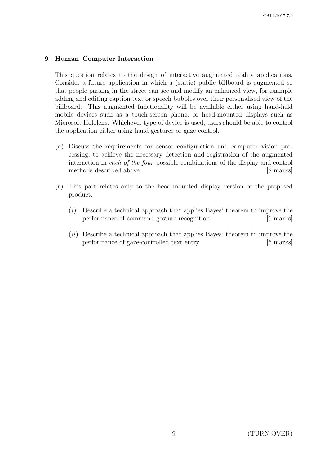### 9 Human–Computer Interaction

This question relates to the design of interactive augmented reality applications. Consider a future application in which a (static) public billboard is augmented so that people passing in the street can see and modify an enhanced view, for example adding and editing caption text or speech bubbles over their personalised view of the billboard. This augmented functionality will be available either using hand-held mobile devices such as a touch-screen phone, or head-mounted displays such as Microsoft Hololens. Whichever type of device is used, users should be able to control the application either using hand gestures or gaze control.

- (a) Discuss the requirements for sensor configuration and computer vision processing, to achieve the necessary detection and registration of the augmented interaction in each of the four possible combinations of the display and control methods described above. [8 marks]
- (b) This part relates only to the head-mounted display version of the proposed product.
	- (i) Describe a technical approach that applies Bayes' theorem to improve the performance of command gesture recognition. [6 marks]
	- $(ii)$  Describe a technical approach that applies Bayes' theorem to improve the performance of gaze-controlled text entry. [6 marks]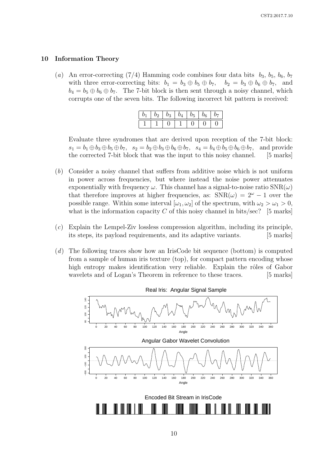#### 10 Information Theory

(a) An error-correcting (7/4) Hamming code combines four data bits  $b_3$ ,  $b_5$ ,  $b_6$ ,  $b_7$ with three error-correcting bits:  $b_1 = b_3 \oplus b_5 \oplus b_7$ ,  $b_2 = b_3 \oplus b_6 \oplus b_7$ , and  $b_4 = b_5 \oplus b_6 \oplus b_7$ . The 7-bit block is then sent through a noisy channel, which corrupts one of the seven bits. The following incorrect bit pattern is received:

| 01 | $\overline{0}2$ | $b_3$ | 04 | $b_5$ | $\overline{b_6}$ | 07 |
|----|-----------------|-------|----|-------|------------------|----|
|    |                 |       |    |       |                  |    |

Evaluate three syndromes that are derived upon reception of the 7-bit block:  $s_1 = b_1 \oplus b_3 \oplus b_5 \oplus b_7$ ,  $s_2 = b_2 \oplus b_3 \oplus b_6 \oplus b_7$ ,  $s_4 = b_4 \oplus b_5 \oplus b_6 \oplus b_7$ , and provide the corrected 7-bit block that was the input to this noisy channel. [5 marks]

- (b) Consider a noisy channel that suffers from additive noise which is not uniform in power across frequencies, but where instead the noise power attenuates exponentially with frequency  $\omega$ . This channel has a signal-to-noise ratio  $SNR(\omega)$ that therefore improves at higher frequencies, as:  $SNR(\omega) = 2^{\omega} - 1$  over the possible range. Within some interval  $[\omega_1, \omega_2]$  of the spectrum, with  $\omega_2 > \omega_1 > 0$ , what is the information capacity  $C$  of this noisy channel in bits/sec? [5 marks]
- (c) Explain the Lempel-Ziv lossless compression algorithm, including its principle, its steps, its payload requirements, and its adaptive variants. [5 marks]
- (d) The following traces show how an IrisCode bit sequence (bottom) is computed from a sample of human iris texture (top), for compact pattern encoding whose high entropy makes identification very reliable. Explain the rôles of Gabor wavelets and of Logan's Theorem in reference to these traces. [5 marks]



Real Iris: Angular Signal Sample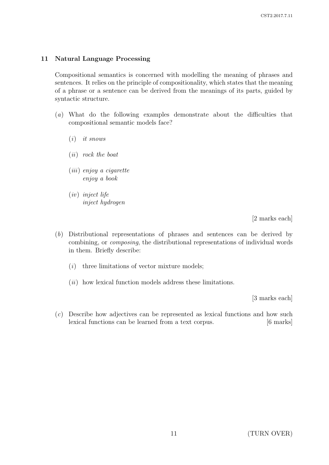### 11 Natural Language Processing

Compositional semantics is concerned with modelling the meaning of phrases and sentences. It relies on the principle of compositionality, which states that the meaning of a phrase or a sentence can be derived from the meanings of its parts, guided by syntactic structure.

- (a) What do the following examples demonstrate about the difficulties that compositional semantic models face?
	- $(i)$  it snows
	- (ii) rock the boat
	- (iii) enjoy a cigarette enjoy a book
	- (iv) inject life inject hydrogen

[2 marks each]

- (b) Distributional representations of phrases and sentences can be derived by combining, or composing, the distributional representations of individual words in them. Briefly describe:
	- $(i)$  three limitations of vector mixture models;
	- $(ii)$  how lexical function models address these limitations.

[3 marks each]

(c) Describe how adjectives can be represented as lexical functions and how such lexical functions can be learned from a text corpus. [6 marks]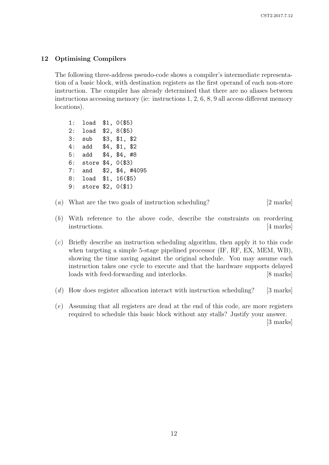### 12 Optimising Compilers

The following three-address pseudo-code shows a compiler's intermediate representation of a basic block, with destination registers as the first operand of each non-store instruction. The compiler has already determined that there are no aliases between instructions accessing memory (ie: instructions 1, 2, 6, 8, 9 all access different memory locations).

| 1:  | load  | \$1, 0 (\$5)          |
|-----|-------|-----------------------|
| 2:  | load  | \$2, 8 (\$5)          |
| 3:  | sub   | \$3, \$1, \$2         |
| 4 : | add   | \$4, \$1, \$2         |
| 5:  | add   | \$4, \$4, #8          |
| 6 : | store | \$4, 0 (\$3)          |
| 7:  |       | and \$2, \$4, #4095   |
| 8:  |       | $load$ \$1, $16(\$5)$ |
| 9 : |       | store $$2, 0 ($1)$    |
|     |       |                       |

- (a) What are the two goals of instruction scheduling? [2 marks]
- (b) With reference to the above code, describe the constraints on reordering instructions. [4 marks]
- (c) Briefly describe an instruction scheduling algorithm, then apply it to this code when targeting a simple 5-stage pipelined processor (IF, RF, EX, MEM, WB), showing the time saving against the original schedule. You may assume each instruction takes one cycle to execute and that the hardware supports delayed loads with feed-forwarding and interlocks. [8 marks]
- (d) How does register allocation interact with instruction scheduling? [3 marks]
- (e) Assuming that all registers are dead at the end of this code, are more registers required to schedule this basic block without any stalls? Justify your answer.

[3 marks]